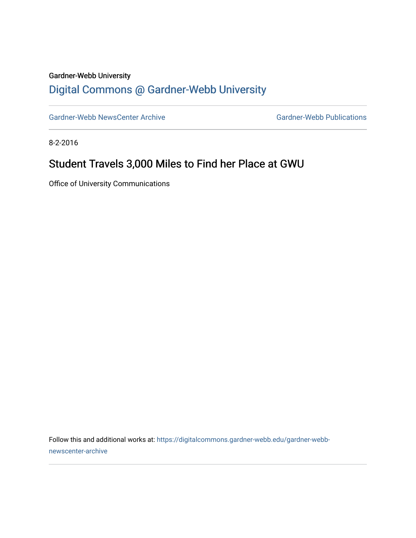## Gardner-Webb University

## [Digital Commons @ Gardner-Webb University](https://digitalcommons.gardner-webb.edu/)

[Gardner-Webb NewsCenter Archive](https://digitalcommons.gardner-webb.edu/gardner-webb-newscenter-archive) Gardner-Webb Publications

8-2-2016

## Student Travels 3,000 Miles to Find her Place at GWU

Office of University Communications

Follow this and additional works at: [https://digitalcommons.gardner-webb.edu/gardner-webb](https://digitalcommons.gardner-webb.edu/gardner-webb-newscenter-archive?utm_source=digitalcommons.gardner-webb.edu%2Fgardner-webb-newscenter-archive%2F831&utm_medium=PDF&utm_campaign=PDFCoverPages)[newscenter-archive](https://digitalcommons.gardner-webb.edu/gardner-webb-newscenter-archive?utm_source=digitalcommons.gardner-webb.edu%2Fgardner-webb-newscenter-archive%2F831&utm_medium=PDF&utm_campaign=PDFCoverPages)